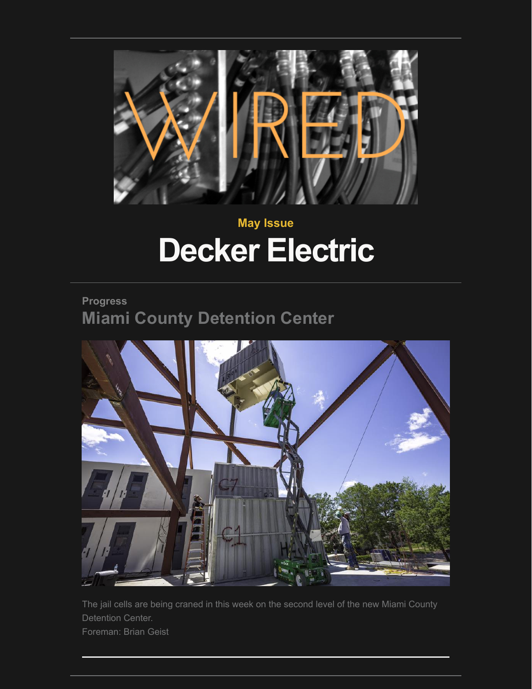

# **May Issue Decker Electric**

## **Progress Miami County Detention Center**



The jail cells are being craned in this week on the second level of the new Miami County Detention Center. Foreman: Brian Geist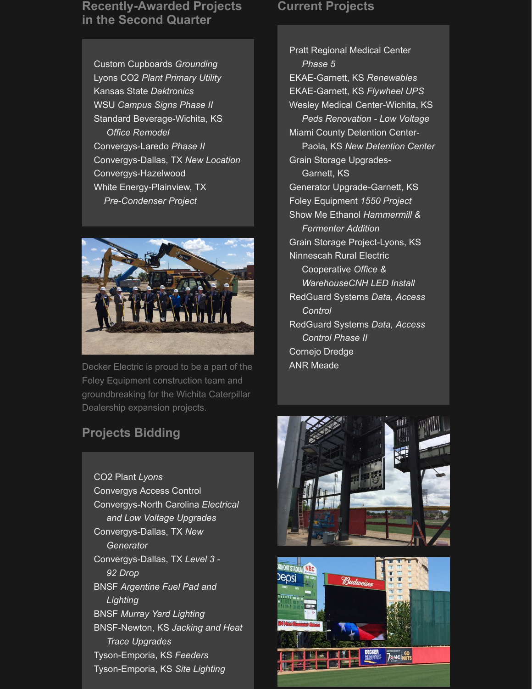#### **Recently-Awarded Projects in the Second Quarter**

Custom Cupboards *Grounding* Lyons CO2 *Plant Primary Utility* Kansas State *Daktronics* WSU *Campus Signs Phase II* Standard Beverage-Wichita, KS  *Office Remodel* Convergys-Laredo *Phase II* Convergys-Dallas, TX *New Location* Convergys-Hazelwood White Energy-Plainview, TX  *Pre-Condenser Project*



Decker Electric is proud to be a part of the Foley Equipment construction team and groundbreaking for the Wichita Caterpillar Dealership expansion projects.

### **Projects Bidding**

CO2 Plant *Lyons* Convergys Access Control Convergys-North Carolina *Electrical and Low Voltage Upgrades* Convergys-Dallas, TX *New Generator* Convergys-Dallas, TX *Level 3 - 92 Drop* BNSF *Argentine Fuel Pad and Lighting* BNSF *Murray Yard Lighting* BNSF-Newton, KS *Jacking and Heat Trace Upgrades* Tyson-Emporia, KS *Feeders* Tyson-Emporia, KS *Site Lighting*

#### **Current Projects**

Pratt Regional Medical Center *Phase 5* EKAE-Garnett, KS *Renewables* EKAE-Garnett, KS *Flywheel UPS* Wesley Medical Center-Wichita, KS  *Peds Renovation - Low Voltage* Miami County Detention Center- Paola, KS *New Detention Center* Grain Storage Upgrades- Garnett, KS Generator Upgrade-Garnett, KS Foley Equipment *1550 Project* Show Me Ethanol *Hammermill & Fermenter Addition* Grain Storage Project-Lyons, KS Ninnescah Rural Electric Cooperative *Office & WarehouseCNH LED Install* RedGuard Systems *Data, Access Control* RedGuard Systems *Data, Access Control Phase II* Cornejo Dredge ANR Meade



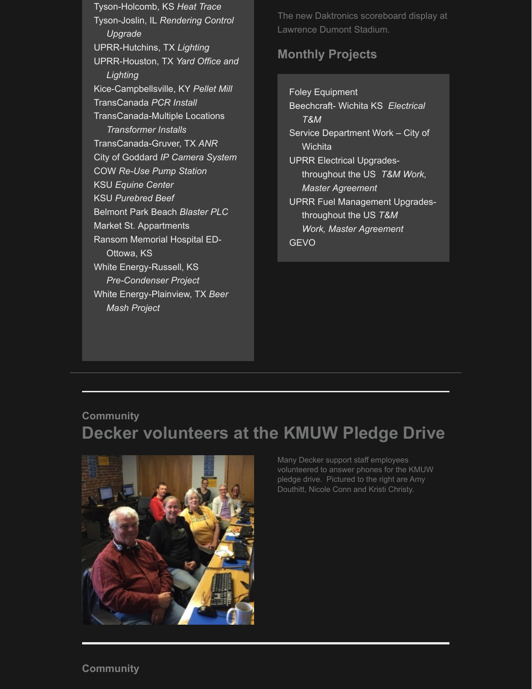Tyson-Holcomb, KS *Heat Trace* Tyson-Joslin, IL *Rendering Control Upgrade* UPRR-Hutchins, TX *Lighting* UPRR-Houston, TX *Yard Office and Lighting* Kice-Campbellsville, KY *Pellet Mill* TransCanada *PCR Install* TransCanada-Multiple Locations *Transformer Installs* TransCanada-Gruver, TX *ANR* City of Goddard *IP Camera System* COW *Re-Use Pump Station* KSU *Equine Center* KSU *Purebred Beef* Belmont Park Beach *Blaster PLC* Market St. Appartments Ransom Memorial Hospital ED- Ottowa, KS White Energy-Russell, KS  *Pre-Condenser Project* White Energy-Plainview, TX *Beer Mash Project*

The new Daktronics scoreboard display at Lawrence Dumont Stadium.

#### **Monthly Projects**

Foley Equipment Beechcraft- Wichita KS *Electrical T&M*  Service Department Work – City of **Wichita** UPRR Electrical Upgrades throughout the US *T&M Work, Master Agreement* UPRR Fuel Management Upgrades throughout the US *T&M Work, Master Agreement* **GEVO** 

## **Community Decker volunteers at the KMUW Pledge Drive**



Many Decker support staff employees volunteered to answer phones for the KMUW pledge drive. Pictured to the right are Amy Douthitt, Nicole Conn and Kristi Christy.

#### **Community**